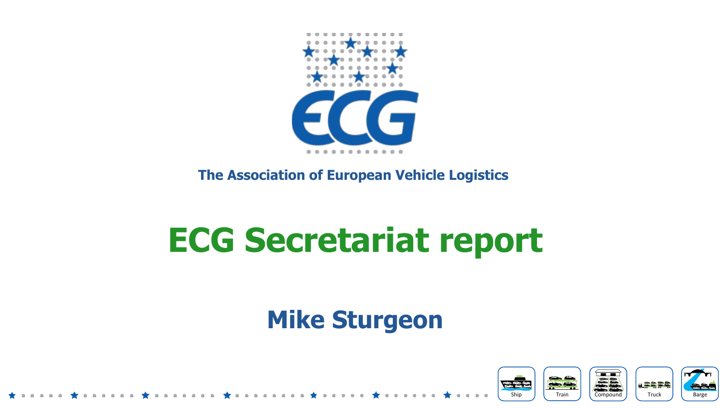

#### **The Association of European Vehicle Logistics**

# **ECG Secretariat report**

#### **Mike Sturgeon**

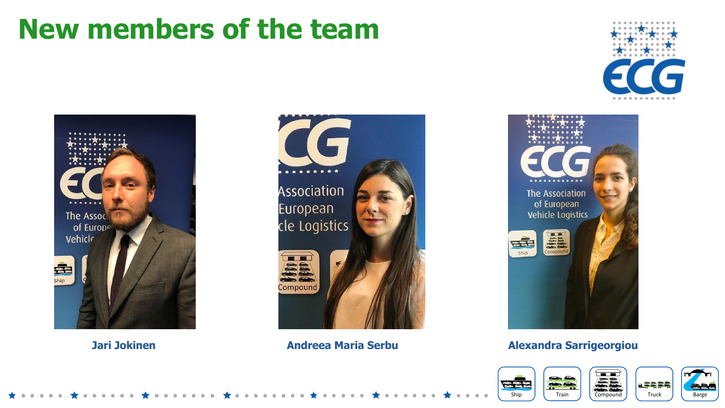#### **New members of the team**









#### **Jari Jokinen Andreea Maria Serbu Alexandra Sarrigeorgiou**

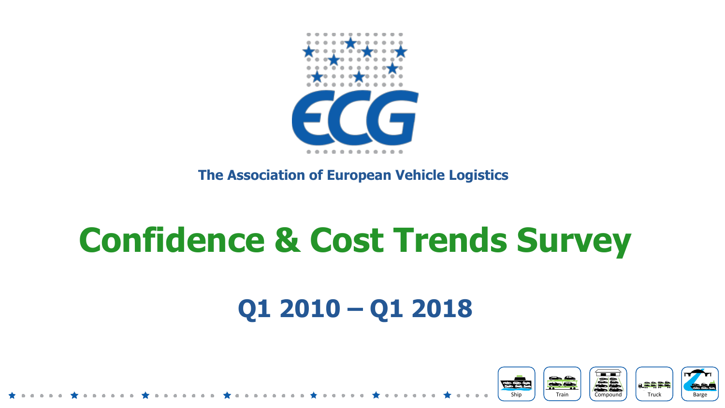

**The Association of European Vehicle Logistics** 

# **Confidence & Cost Trends Survey**

### **Q1 2010 – Q1 2018**

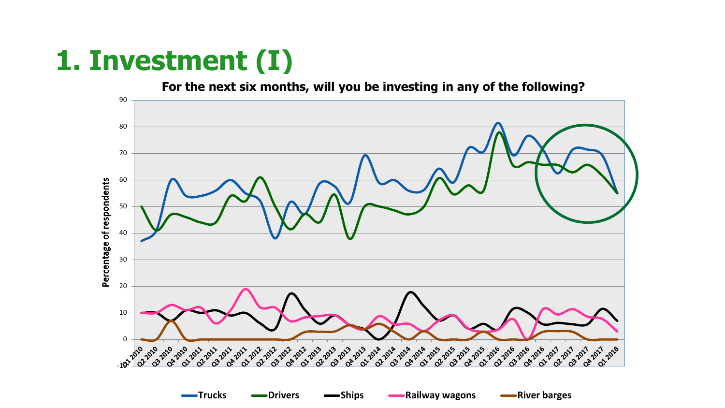## **1. Investment (I)**

**For the next six months, will you be investing in any of the following?**

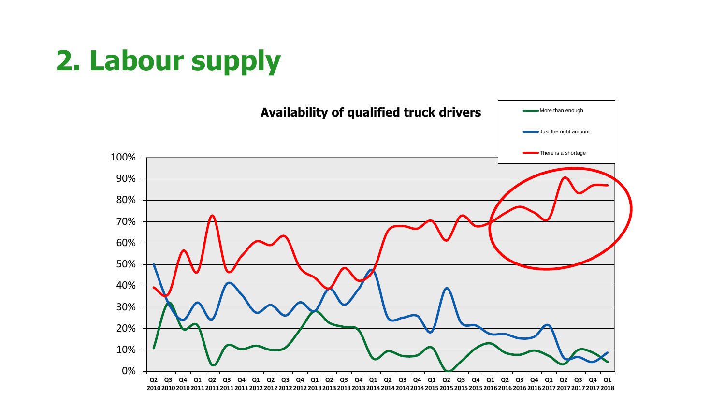# **2. Labour supply**

![](_page_4_Figure_1.jpeg)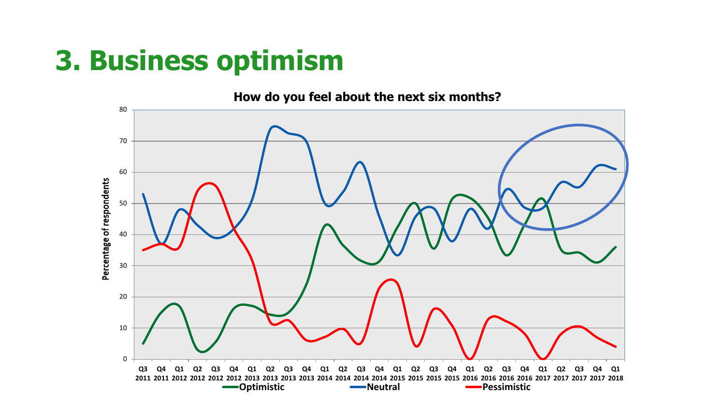### **3. Business optimism**

**How do you feel about the next six months?** 

![](_page_5_Figure_2.jpeg)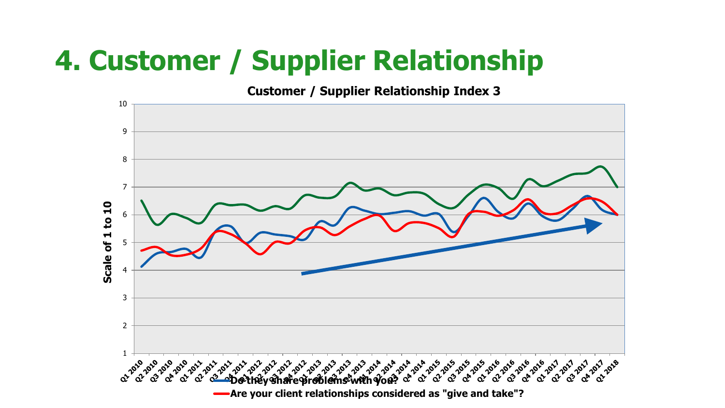## **4. Customer / Supplier Relationship**

#### **Customer / Supplier Relationship Index 3**

![](_page_6_Figure_2.jpeg)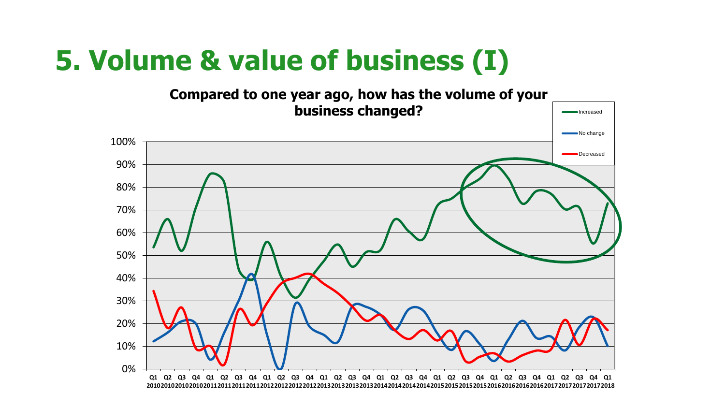### **5. Volume & value of business (I)**

![](_page_7_Figure_1.jpeg)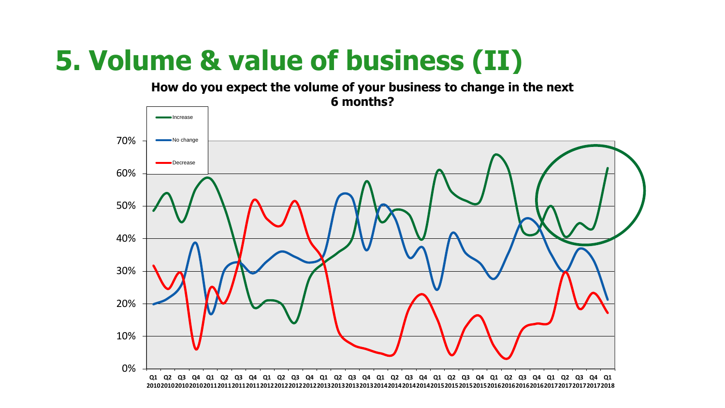## **5. Volume & value of business (II)**

**How do you expect the volume of your business to change in the next 6 months?**

![](_page_8_Figure_2.jpeg)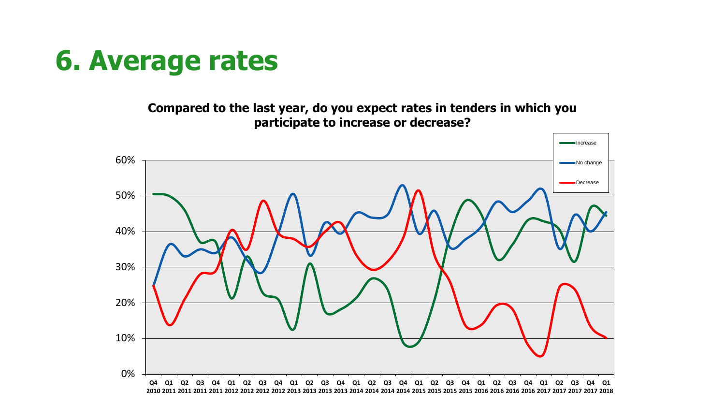#### **6. Average rates**

**Compared to the last year, do you expect rates in tenders in which you participate to increase or decrease?**

![](_page_9_Figure_2.jpeg)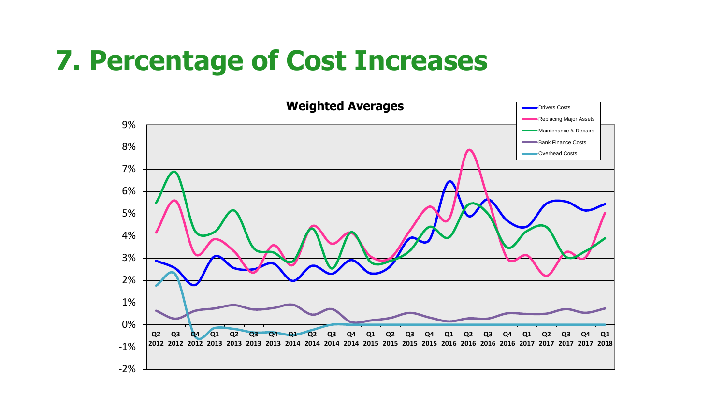#### **7. Percentage of Cost Increases**

![](_page_10_Figure_1.jpeg)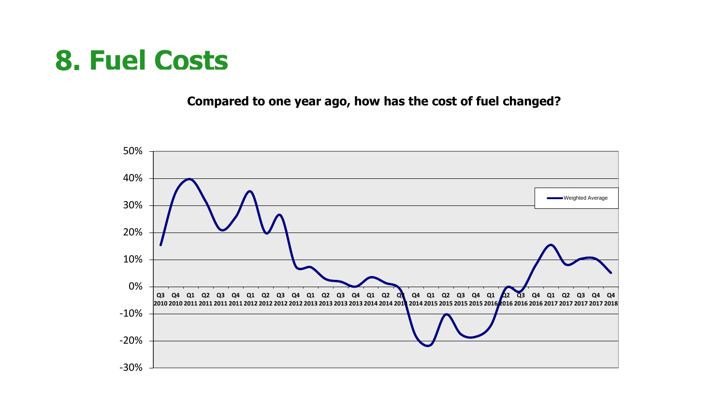#### **8. Fuel Costs**

**Compared to one year ago, how has the cost of fuel changed?**

![](_page_11_Figure_2.jpeg)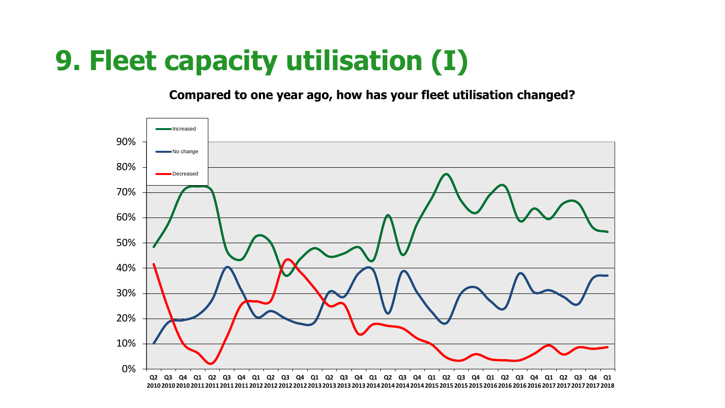### **9. Fleet capacity utilisation (I)**

**Compared to one year ago, how has your fleet utilisation changed?**

![](_page_12_Figure_2.jpeg)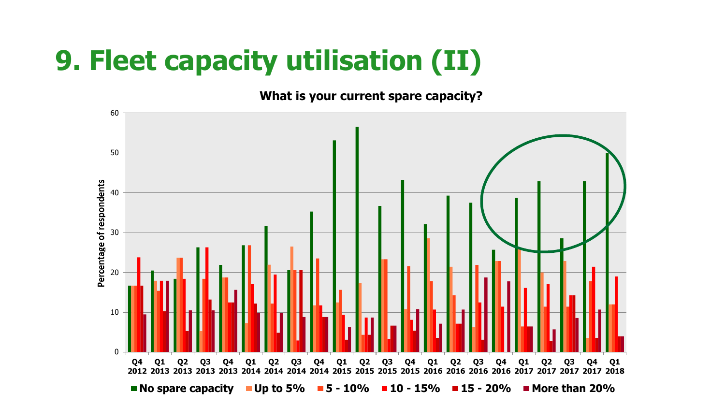## **9. Fleet capacity utilisation (II)**

**What is your current spare capacity?**

![](_page_13_Figure_2.jpeg)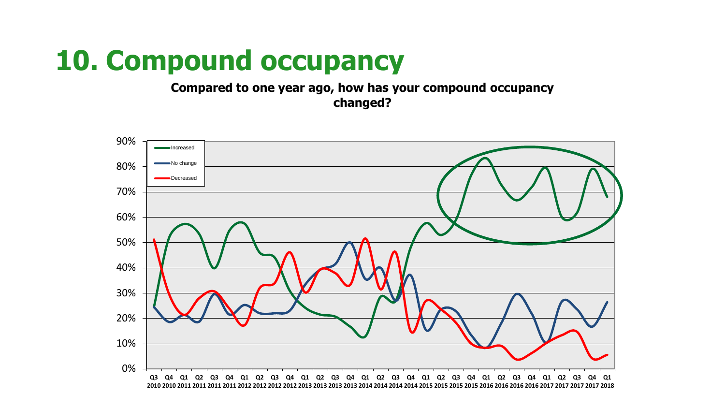#### **10. Compound occupancy**

**Compared to one year ago, how has your compound occupancy changed?**

![](_page_14_Figure_2.jpeg)